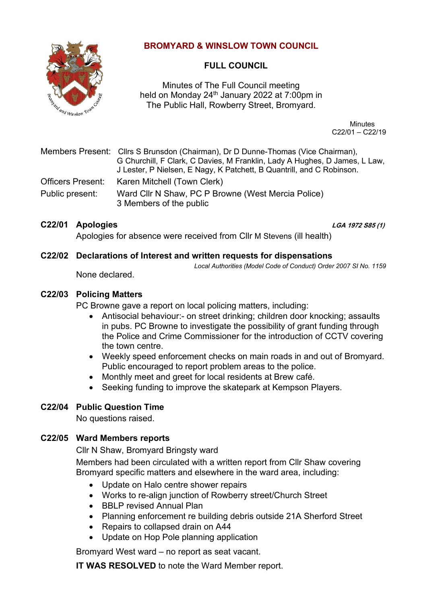

# **BROMYARD & WINSLOW TOWN COUNCIL**

# **FULL COUNCIL**

Minutes of The Full Council meeting held on Monday 24<sup>th</sup> January 2022 at 7:00pm in The Public Hall, Rowberry Street, Bromyard.

> Minutes C22/01 – C22/19

Members Present: Cllrs S Brunsdon (Chairman), Dr D Dunne-Thomas (Vice Chairman), G Churchill, F Clark, C Davies, M Franklin, Lady A Hughes, D James, L Law, J Lester, P Nielsen, E Nagy, K Patchett, B Quantrill, and C Robinson. Officers Present: Karen Mitchell (Town Clerk) Public present: Ward Cllr N Shaw, PC P Browne (West Mercia Police) 3 Members of the public

# **C22/01 Apologies LGA 1972 S85 (1)**

Apologies for absence were received from Cllr M Stevens (ill health)

# **C22/02 Declarations of Interest and written requests for dispensations**

*Local Authorities (Model Code of Conduct) Order 2007 SI No. 1159*

None declared.

## **C22/03 Policing Matters**

PC Browne gave a report on local policing matters, including:

- Antisocial behaviour:- on street drinking; children door knocking; assaults in pubs. PC Browne to investigate the possibility of grant funding through the Police and Crime Commissioner for the introduction of CCTV covering the town centre.
- Weekly speed enforcement checks on main roads in and out of Bromyard. Public encouraged to report problem areas to the police.
- Monthly meet and greet for local residents at Brew café.
- Seeking funding to improve the skatepark at Kempson Players.

# **C22/04 Public Question Time**

No questions raised.

# **C22/05 Ward Members reports**

Cllr N Shaw, Bromyard Bringsty ward

Members had been circulated with a written report from Cllr Shaw covering Bromyard specific matters and elsewhere in the ward area, including:

- Update on Halo centre shower repairs
- Works to re-align junction of Rowberry street/Church Street
- BBLP revised Annual Plan
- Planning enforcement re building debris outside 21A Sherford Street
- Repairs to collapsed drain on A44
- Update on Hop Pole planning application

Bromyard West ward – no report as seat vacant.

**IT WAS RESOLVED** to note the Ward Member report.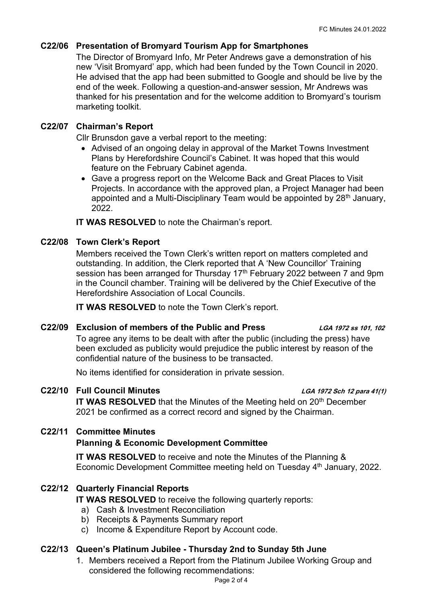## **C22/06 Presentation of Bromyard Tourism App for Smartphones**

The Director of Bromyard Info, Mr Peter Andrews gave a demonstration of his new 'Visit Bromyard' app, which had been funded by the Town Council in 2020. He advised that the app had been submitted to Google and should be live by the end of the week. Following a question-and-answer session, Mr Andrews was thanked for his presentation and for the welcome addition to Bromyard's tourism marketing toolkit.

## **C22/07 Chairman's Report**

Cllr Brunsdon gave a verbal report to the meeting:

- Advised of an ongoing delay in approval of the Market Towns Investment Plans by Herefordshire Council's Cabinet. It was hoped that this would feature on the February Cabinet agenda.
- Gave a progress report on the Welcome Back and Great Places to Visit Projects. In accordance with the approved plan, a Project Manager had been appointed and a Multi-Disciplinary Team would be appointed by 28<sup>th</sup> January, 2022.

**IT WAS RESOLVED** to note the Chairman's report.

## **C22/08 Town Clerk's Report**

Members received the Town Clerk's written report on matters completed and outstanding. In addition, the Clerk reported that A 'New Councillor' Training session has been arranged for Thursday 17<sup>th</sup> February 2022 between 7 and 9pm in the Council chamber. Training will be delivered by the Chief Executive of the Herefordshire Association of Local Councils.

**IT WAS RESOLVED** to note the Town Clerk's report.

## **C22/09 Exclusion of members of the Public and Press LGA 1972 ss 101, 102**

To agree any items to be dealt with after the public (including the press) have been excluded as publicity would prejudice the public interest by reason of the confidential nature of the business to be transacted.

No items identified for consideration in private session.

# **C22/10 Full Council Minutes LGA 1972 Sch 12 para 41(1)**

**IT WAS RESOLVED** that the Minutes of the Meeting held on 20<sup>th</sup> December 2021 be confirmed as a correct record and signed by the Chairman.

## **C22/11 Committee Minutes**

## **Planning & Economic Development Committee**

**IT WAS RESOLVED** to receive and note the Minutes of the Planning & Economic Development Committee meeting held on Tuesday 4<sup>th</sup> January, 2022.

# **C22/12 Quarterly Financial Reports**

**IT WAS RESOLVED** to receive the following quarterly reports:

- a) Cash & Investment Reconciliation
- b) Receipts & Payments Summary report
- c) Income & Expenditure Report by Account code.

## **C22/13 Queen's Platinum Jubilee - Thursday 2nd to Sunday 5th June**

1. Members received a Report from the Platinum Jubilee Working Group and considered the following recommendations: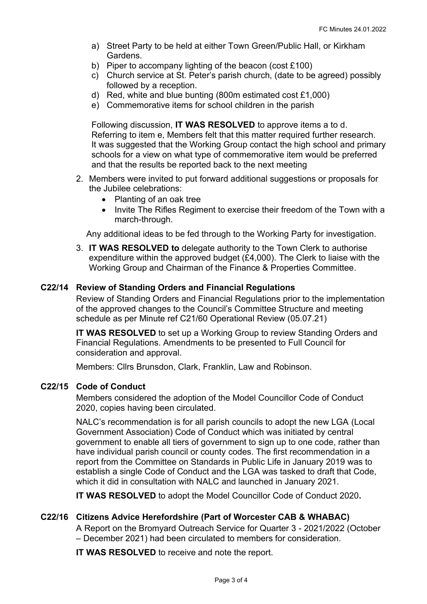- a) Street Party to be held at either Town Green/Public Hall, or Kirkham Gardens.
- b) Piper to accompany lighting of the beacon (cost £100)
- c) Church service at St. Peter's parish church, (date to be agreed) possibly followed by a reception.
- d) Red, white and blue bunting (800m estimated cost £1,000)
- e) Commemorative items for school children in the parish

Following discussion, **IT WAS RESOLVED** to approve items a to d. Referring to item e, Members felt that this matter required further research. It was suggested that the Working Group contact the high school and primary schools for a view on what type of commemorative item would be preferred and that the results be reported back to the next meeting

- 2. Members were invited to put forward additional suggestions or proposals for the Jubilee celebrations:
	- Planting of an oak tree
	- Invite The Rifles Regiment to exercise their freedom of the Town with a march-through.

Any additional ideas to be fed through to the Working Party for investigation.

3. **IT WAS RESOLVED to** delegate authority to the Town Clerk to authorise expenditure within the approved budget (£4,000). The Clerk to liaise with the Working Group and Chairman of the Finance & Properties Committee.

### **C22/14 Review of Standing Orders and Financial Regulations**

Review of Standing Orders and Financial Regulations prior to the implementation of the approved changes to the Council's Committee Structure and meeting schedule as per Minute ref C21/60 Operational Review (05.07.21)

**IT WAS RESOLVED** to set up a Working Group to review Standing Orders and Financial Regulations. Amendments to be presented to Full Council for consideration and approval.

Members: Cllrs Brunsdon, Clark, Franklin, Law and Robinson.

### **C22/15 Code of Conduct**

Members considered the adoption of the Model Councillor Code of Conduct 2020, copies having been circulated.

NALC's recommendation is for all parish councils to adopt the new LGA (Local Government Association) Code of Conduct which was initiated by central government to enable all tiers of government to sign up to one code, rather than have individual parish council or county codes. The first recommendation in a report from the Committee on Standards in Public Life in January 2019 was to establish a single Code of Conduct and the LGA was tasked to draft that Code, which it did in consultation with NALC and launched in January 2021.

**IT WAS RESOLVED** to adopt the Model Councillor Code of Conduct 2020**.**

### **C22/16 Citizens Advice Herefordshire (Part of Worcester CAB & WHABAC)**

A Report on the Bromyard Outreach Service for Quarter 3 - 2021/2022 (October – December 2021) had been circulated to members for consideration.

**IT WAS RESOLVED** to receive and note the report.